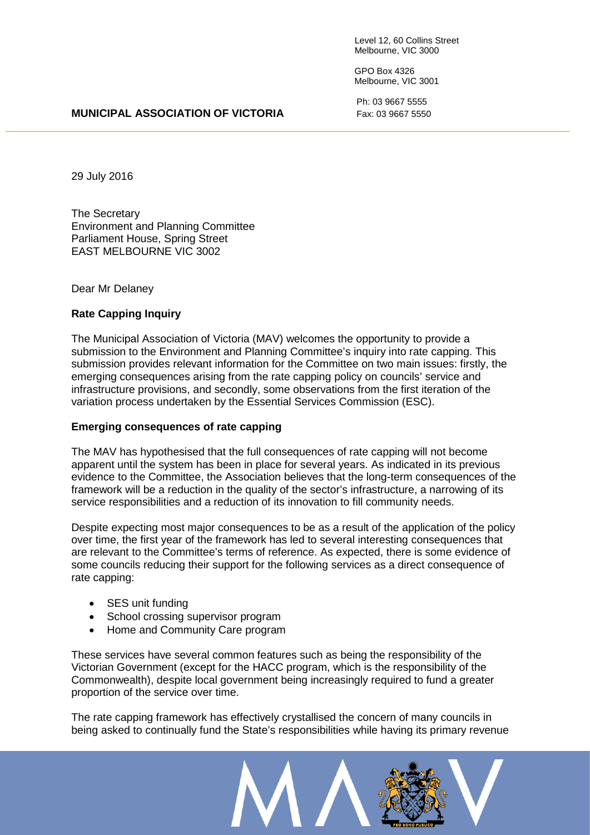Level 12, 60 Collins Street Melbourne, VIC 3000

GPO Box 4326 Melbourne, VIC 3001

Ph: 03 9667 5555

## **MUNICIPAL ASSOCIATION OF VICTORIA** Fax: 03 9667 5550

29 July 2016

The Secretary Environment and Planning Committee Parliament House, Spring Street EAST MELBOURNE VIC 3002

Dear Mr Delaney

# **Rate Capping Inquiry**

The Municipal Association of Victoria (MAV) welcomes the opportunity to provide a submission to the Environment and Planning Committee's inquiry into rate capping. This submission provides relevant information for the Committee on two main issues: firstly, the emerging consequences arising from the rate capping policy on councils' service and infrastructure provisions, and secondly, some observations from the first iteration of the variation process undertaken by the Essential Services Commission (ESC).

\_\_\_\_\_\_\_\_\_\_\_\_\_\_\_\_\_\_\_\_\_\_\_\_\_\_\_\_\_\_\_\_\_\_\_\_\_\_\_\_\_\_\_\_\_\_\_\_\_\_\_\_\_\_\_\_\_\_\_\_\_\_\_\_\_\_\_\_\_\_\_\_\_\_\_\_\_\_\_\_\_\_\_\_\_\_\_\_\_\_\_\_\_

## **Emerging consequences of rate capping**

The MAV has hypothesised that the full consequences of rate capping will not become apparent until the system has been in place for several years. As indicated in its previous evidence to the Committee, the Association believes that the long-term consequences of the framework will be a reduction in the quality of the sector's infrastructure, a narrowing of its service responsibilities and a reduction of its innovation to fill community needs.

Despite expecting most major consequences to be as a result of the application of the policy over time, the first year of the framework has led to several interesting consequences that are relevant to the Committee's terms of reference. As expected, there is some evidence of some councils reducing their support for the following services as a direct consequence of rate capping:

- SES unit funding
- School crossing supervisor program
- Home and Community Care program

These services have several common features such as being the responsibility of the Victorian Government (except for the HACC program, which is the responsibility of the Commonwealth), despite local government being increasingly required to fund a greater proportion of the service over time.

The rate capping framework has effectively crystallised the concern of many councils in being asked to continually fund the State's responsibilities while having its primary revenue

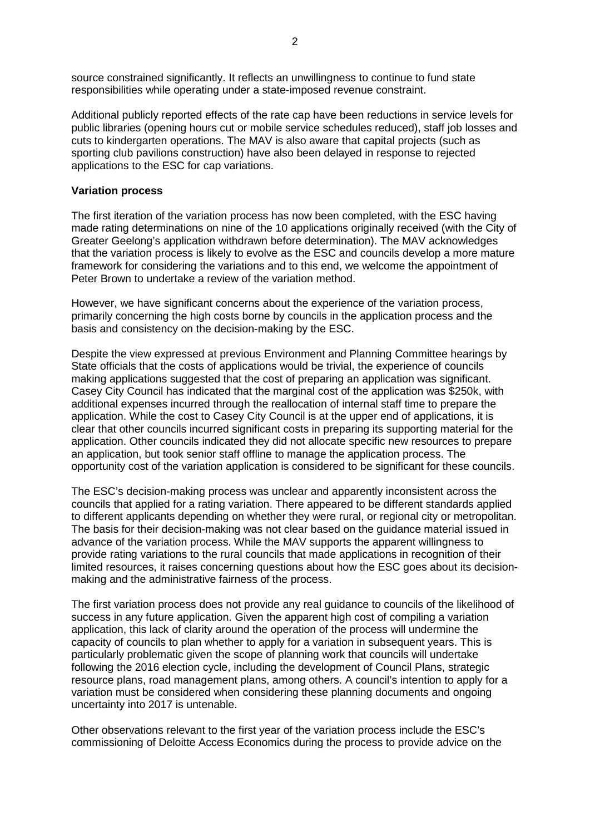source constrained significantly. It reflects an unwillingness to continue to fund state responsibilities while operating under a state-imposed revenue constraint.

Additional publicly reported effects of the rate cap have been reductions in service levels for public libraries (opening hours cut or mobile service schedules reduced), staff job losses and cuts to kindergarten operations. The MAV is also aware that capital projects (such as sporting club pavilions construction) have also been delayed in response to rejected applications to the ESC for cap variations.

## **Variation process**

The first iteration of the variation process has now been completed, with the ESC having made rating determinations on nine of the 10 applications originally received (with the City of Greater Geelong's application withdrawn before determination). The MAV acknowledges that the variation process is likely to evolve as the ESC and councils develop a more mature framework for considering the variations and to this end, we welcome the appointment of Peter Brown to undertake a review of the variation method.

However, we have significant concerns about the experience of the variation process, primarily concerning the high costs borne by councils in the application process and the basis and consistency on the decision-making by the ESC.

Despite the view expressed at previous Environment and Planning Committee hearings by State officials that the costs of applications would be trivial, the experience of councils making applications suggested that the cost of preparing an application was significant. Casey City Council has indicated that the marginal cost of the application was \$250k, with additional expenses incurred through the reallocation of internal staff time to prepare the application. While the cost to Casey City Council is at the upper end of applications, it is clear that other councils incurred significant costs in preparing its supporting material for the application. Other councils indicated they did not allocate specific new resources to prepare an application, but took senior staff offline to manage the application process. The opportunity cost of the variation application is considered to be significant for these councils.

The ESC's decision-making process was unclear and apparently inconsistent across the councils that applied for a rating variation. There appeared to be different standards applied to different applicants depending on whether they were rural, or regional city or metropolitan. The basis for their decision-making was not clear based on the guidance material issued in advance of the variation process. While the MAV supports the apparent willingness to provide rating variations to the rural councils that made applications in recognition of their limited resources, it raises concerning questions about how the ESC goes about its decisionmaking and the administrative fairness of the process.

The first variation process does not provide any real guidance to councils of the likelihood of success in any future application. Given the apparent high cost of compiling a variation application, this lack of clarity around the operation of the process will undermine the capacity of councils to plan whether to apply for a variation in subsequent years. This is particularly problematic given the scope of planning work that councils will undertake following the 2016 election cycle, including the development of Council Plans, strategic resource plans, road management plans, among others. A council's intention to apply for a variation must be considered when considering these planning documents and ongoing uncertainty into 2017 is untenable.

Other observations relevant to the first year of the variation process include the ESC's commissioning of Deloitte Access Economics during the process to provide advice on the